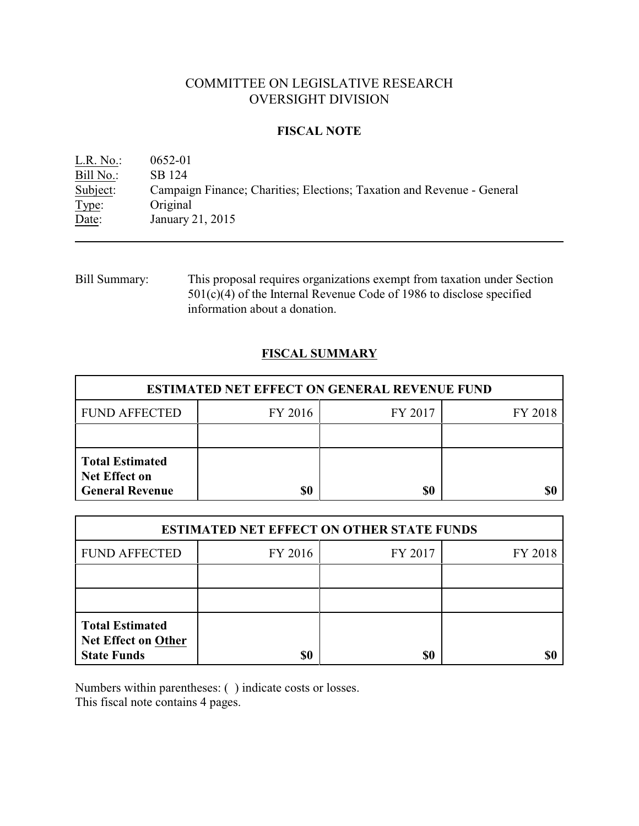## COMMITTEE ON LEGISLATIVE RESEARCH OVERSIGHT DIVISION

#### **FISCAL NOTE**

L.R. No.: 0652-01 Bill No.: SB 124 Subject: Campaign Finance; Charities; Elections; Taxation and Revenue - General Type: Original Date: January 21, 2015

Bill Summary: This proposal requires organizations exempt from taxation under Section  $501(c)(4)$  of the Internal Revenue Code of 1986 to disclose specified information about a donation.

### **FISCAL SUMMARY**

| <b>ESTIMATED NET EFFECT ON GENERAL REVENUE FUND</b>                      |         |         |         |  |
|--------------------------------------------------------------------------|---------|---------|---------|--|
| <b>FUND AFFECTED</b>                                                     | FY 2016 | FY 2017 | FY 2018 |  |
|                                                                          |         |         |         |  |
| <b>Total Estimated</b><br><b>Net Effect on</b><br><b>General Revenue</b> | \$0     | \$0     |         |  |

| <b>ESTIMATED NET EFFECT ON OTHER STATE FUNDS</b>                           |         |         |         |  |
|----------------------------------------------------------------------------|---------|---------|---------|--|
| <b>FUND AFFECTED</b>                                                       | FY 2016 | FY 2017 | FY 2018 |  |
|                                                                            |         |         |         |  |
|                                                                            |         |         |         |  |
| <b>Total Estimated</b><br><b>Net Effect on Other</b><br><b>State Funds</b> | \$0     | \$0     |         |  |

Numbers within parentheses: ( ) indicate costs or losses.

This fiscal note contains 4 pages.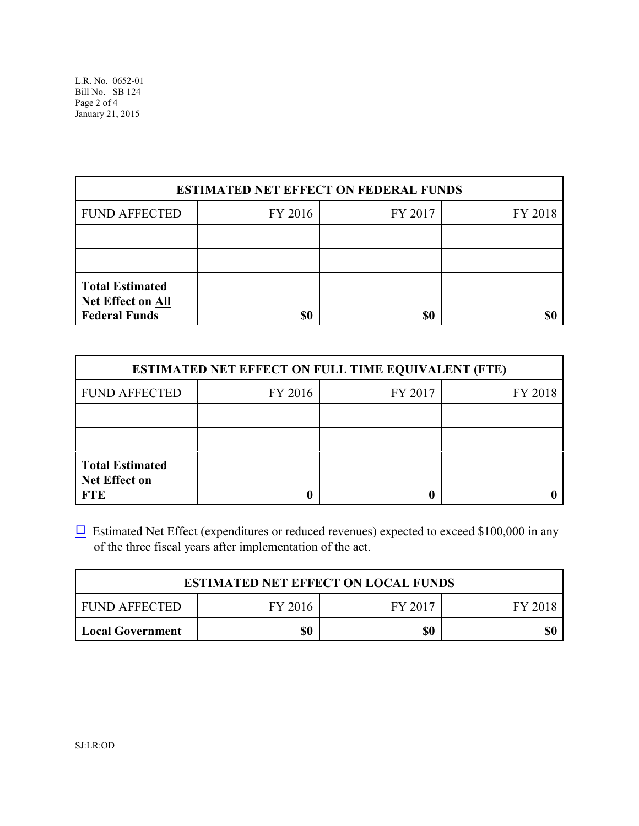L.R. No. 0652-01 Bill No. SB 124 Page 2 of 4 January 21, 2015

| <b>ESTIMATED NET EFFECT ON FEDERAL FUNDS</b>                               |         |         |         |  |
|----------------------------------------------------------------------------|---------|---------|---------|--|
| <b>FUND AFFECTED</b>                                                       | FY 2016 | FY 2017 | FY 2018 |  |
|                                                                            |         |         |         |  |
|                                                                            |         |         |         |  |
| <b>Total Estimated</b><br><b>Net Effect on All</b><br><b>Federal Funds</b> | \$0     | \$0     |         |  |

| <b>ESTIMATED NET EFFECT ON FULL TIME EQUIVALENT (FTE)</b>    |         |         |         |  |
|--------------------------------------------------------------|---------|---------|---------|--|
| <b>FUND AFFECTED</b>                                         | FY 2016 | FY 2017 | FY 2018 |  |
|                                                              |         |         |         |  |
|                                                              |         |         |         |  |
| <b>Total Estimated</b><br><b>Net Effect on</b><br><b>FTE</b> |         |         |         |  |

 $\Box$  Estimated Net Effect (expenditures or reduced revenues) expected to exceed \$100,000 in any of the three fiscal years after implementation of the act.

| <b>ESTIMATED NET EFFECT ON LOCAL FUNDS</b> |         |         |         |  |
|--------------------------------------------|---------|---------|---------|--|
| FUND AFFECTED                              | FY 2016 | FY 2017 | FY 2018 |  |
| Local Government                           | \$0     | \$0     | \$0     |  |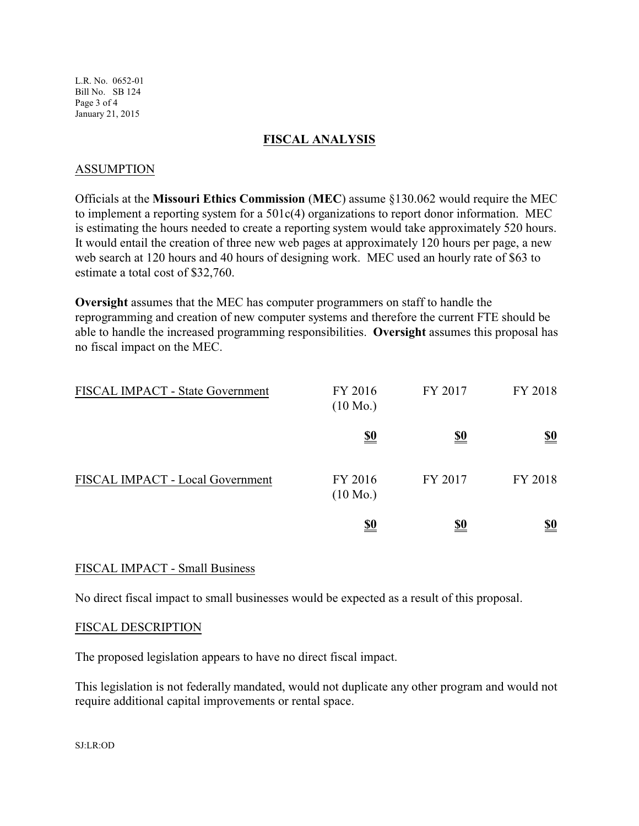L.R. No. 0652-01 Bill No. SB 124 Page 3 of 4 January 21, 2015

#### **FISCAL ANALYSIS**

#### ASSUMPTION

Officials at the **Missouri Ethics Commission** (**MEC**) assume §130.062 would require the MEC to implement a reporting system for a 501c(4) organizations to report donor information. MEC is estimating the hours needed to create a reporting system would take approximately 520 hours. It would entail the creation of three new web pages at approximately 120 hours per page, a new web search at 120 hours and 40 hours of designing work. MEC used an hourly rate of \$63 to estimate a total cost of \$32,760.

**Oversight** assumes that the MEC has computer programmers on staff to handle the reprogramming and creation of new computer systems and therefore the current FTE should be able to handle the increased programming responsibilities. **Oversight** assumes this proposal has no fiscal impact on the MEC.

| <b>FISCAL IMPACT - State Government</b> | FY 2016<br>$(10 \text{ Mo.})$ | FY 2017    | FY 2018    |
|-----------------------------------------|-------------------------------|------------|------------|
|                                         | <u>\$0</u>                    | <u>\$0</u> | <u>\$0</u> |
| FISCAL IMPACT - Local Government        | FY 2016<br>$(10 \text{ Mo.})$ | FY 2017    | FY 2018    |
|                                         | <u>\$0</u>                    | <u>\$0</u> | <u>\$0</u> |

#### FISCAL IMPACT - Small Business

No direct fiscal impact to small businesses would be expected as a result of this proposal.

#### FISCAL DESCRIPTION

The proposed legislation appears to have no direct fiscal impact.

This legislation is not federally mandated, would not duplicate any other program and would not require additional capital improvements or rental space.

SJ:LR:OD